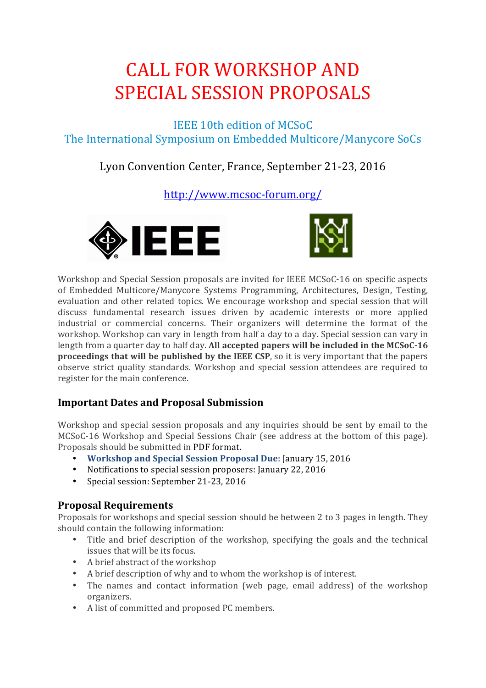# **CALL FOR WORKSHOP AND** SPECIAL SESSION PROPOSALS

IEEE 10th edition of MCSoC The International Symposium on Embedded Multicore/Manycore SoCs

## Lyon Convention Center, France, September 21-23, 2016

http://www.mcsoc-forum.org/





Workshop and Special Session proposals are invited for IEEE MCSoC-16 on specific aspects of Embedded Multicore/Manycore Systems Programming, Architectures, Design, Testing, evaluation and other related topics. We encourage workshop and special session that will discuss fundamental research issues driven by academic interests or more applied industrial or commercial concerns. Their organizers will determine the format of the workshop. Workshop can vary in length from half a day to a day. Special session can vary in length from a quarter day to half day. All accepted papers will be included in the MCSoC-16 **proceedings that will be published by the IEEE CSP**, so it is very important that the papers observe strict quality standards. Workshop and special session attendees are required to register for the main conference.

### **Important Dates and Proposal Submission**

Workshop and special session proposals and any inquiries should be sent by email to the MCSoC-16 Workshop and Special Sessions Chair (see address at the bottom of this page). Proposals should be submitted in PDF format.

- Workshop and Special Session Proposal Due: January 15, 2016
- Notifications to special session proposers: January 22, 2016
- Special session: September 21-23, 2016

### **Proposal Requirements**

Proposals for workshops and special session should be between 2 to 3 pages in length. They should contain the following information:

- Title and brief description of the workshop, specifying the goals and the technical issues that will be its focus.
- A brief abstract of the workshop
- A brief description of why and to whom the workshop is of interest.
- The names and contact information (web page, email address) of the workshop organizers.
- A list of committed and proposed PC members.